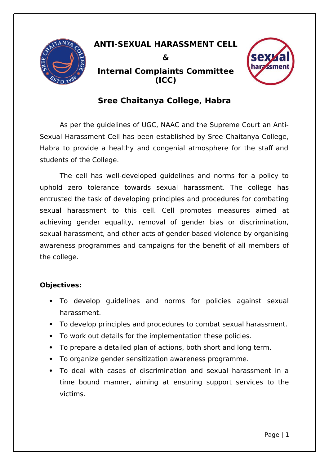

# **ANTI-SEXUAL HARASSMENT CELL & Internal Complaints Committee (ICC)**



# **Sree Chaitanya College, Habra**

As per the guidelines of UGC, NAAC and the Supreme Court an Anti-Sexual Harassment Cell has been established by Sree Chaitanya College, Habra to provide a healthy and congenial atmosphere for the staff and students of the College.

The cell has well-developed guidelines and norms for a policy to uphold zero tolerance towards sexual harassment. The college has entrusted the task of developing principles and procedures for combating sexual harassment to this cell. Cell promotes measures aimed at achieving gender equality, removal of gender bias or discrimination, sexual harassment, and other acts of gender-based violence by organising awareness programmes and campaigns for the benefit of all members of the college.

### **Objectives:**

- To develop guidelines and norms for policies against sexual harassment.
- To develop principles and procedures to combat sexual harassment.
- To work out details for the implementation these policies.
- To prepare a detailed plan of actions, both short and long term.
- To organize gender sensitization awareness programme.
- To deal with cases of discrimination and sexual harassment in a time bound manner, aiming at ensuring support services to the victims.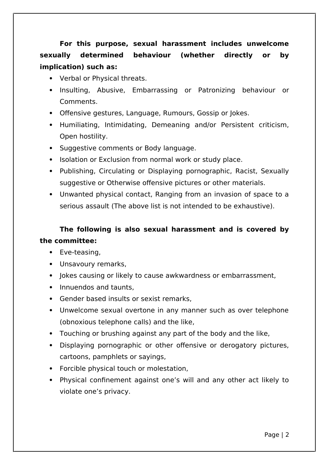**For this purpose, sexual harassment includes unwelcome sexually determined behaviour (whether directly or by implication) such as:**

- Verbal or Physical threats.
- Insulting, Abusive, Embarrassing or Patronizing behaviour or Comments.
- Offensive gestures, Language, Rumours, Gossip or Jokes.
- Humiliating, Intimidating, Demeaning and/or Persistent criticism, Open hostility.
- Suggestive comments or Body language.
- Isolation or Exclusion from normal work or study place.
- Publishing, Circulating or Displaying pornographic, Racist, Sexually suggestive or Otherwise offensive pictures or other materials.
- Unwanted physical contact, Ranging from an invasion of space to a serious assault (The above list is not intended to be exhaustive).

## **The following is also sexual harassment and is covered by the committee:**

- Eve-teasing.
- Unsavoury remarks,
- Jokes causing or likely to cause awkwardness or embarrassment,
- Innuendos and taunts,
- Gender based insults or sexist remarks,
- Unwelcome sexual overtone in any manner such as over telephone (obnoxious telephone calls) and the like,
- Touching or brushing against any part of the body and the like,
- Displaying pornographic or other offensive or derogatory pictures, cartoons, pamphlets or sayings,
- Forcible physical touch or molestation,
- Physical confinement against one's will and any other act likely to violate one's privacy.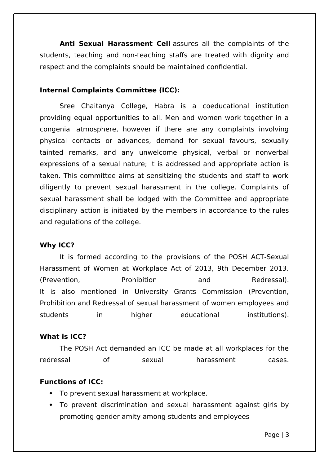**Anti Sexual Harassment Cell** assures all the complaints of the students, teaching and non-teaching staffs are treated with dignity and respect and the complaints should be maintained confidential.

#### **Internal Complaints Committee (ICC):**

Sree Chaitanya College, Habra is a coeducational institution providing equal opportunities to all. Men and women work together in a congenial atmosphere, however if there are any complaints involving physical contacts or advances, demand for sexual favours, sexually tainted remarks, and any unwelcome physical, verbal or nonverbal expressions of a sexual nature; it is addressed and appropriate action is taken. This committee aims at sensitizing the students and staff to work diligently to prevent sexual harassment in the college. Complaints of sexual harassment shall be lodged with the Committee and appropriate disciplinary action is initiated by the members in accordance to the rules and regulations of the college.

#### **Why ICC?**

It is formed according to the provisions of the POSH ACT-Sexual Harassment of Women at Workplace Act of 2013, 9th December 2013. (Prevention, Prohibition and Redressal). It is also mentioned in University Grants Commission (Prevention, Prohibition and Redressal of sexual harassment of women employees and students in higher educational institutions).

#### **What is ICC?**

The POSH Act demanded an ICC be made at all workplaces for the redressal of sexual harassment cases.

#### **Functions of ICC:**

- To prevent sexual harassment at workplace.
- To prevent discrimination and sexual harassment against girls by promoting gender amity among students and employees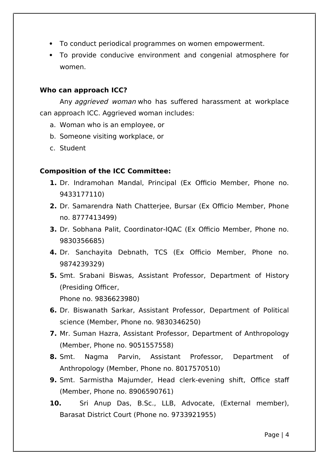- To conduct periodical programmes on women empowerment.
- To provide conducive environment and congenial atmosphere for women.

#### **Who can approach ICC?**

Any *aggrieved woman* who has suffered harassment at workplace can approach ICC. Aggrieved woman includes:

- a. Woman who is an employee, or
- b. Someone visiting workplace, or
- c. Student

#### **Composition of the ICC Committee:**

- **1.** Dr. Indramohan Mandal, Principal (Ex Officio Member, Phone no. 9433177110)
- **2.** Dr. Samarendra Nath Chatterjee, Bursar (Ex Officio Member, Phone no. 8777413499)
- **3.** Dr. Sobhana Palit, Coordinator-IQAC (Ex Officio Member, Phone no. 9830356685)
- **4.** Dr. Sanchayita Debnath, TCS (Ex Officio Member, Phone no. 9874239329)
- **5.** Smt. Srabani Biswas, Assistant Professor, Department of History (Presiding Officer,

Phone no. 9836623980)

- **6.** Dr. Biswanath Sarkar, Assistant Professor, Department of Political science (Member, Phone no. 9830346250)
- **7.** Mr. Suman Hazra, Assistant Professor, Department of Anthropology (Member, Phone no. 9051557558)
- **8.** Smt. Nagma Parvin, Assistant Professor, Department of Anthropology (Member, Phone no. 8017570510)
- **9.** Smt. Sarmistha Majumder, Head clerk-evening shift, Office staff (Member, Phone no. 8906590761)
- **10.** Sri Anup Das, B.Sc., LLB, Advocate, (External member), Barasat District Court (Phone no. 9733921955)